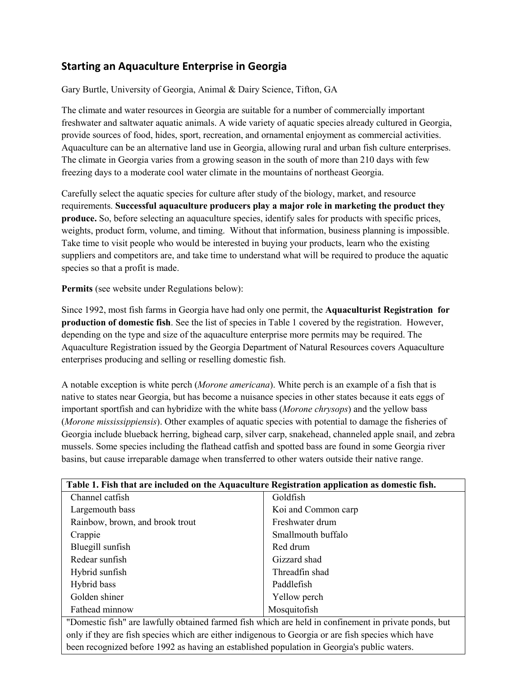# **Starting an Aquaculture Enterprise in Georgia**

Gary Burtle, University of Georgia, Animal & Dairy Science, Tifton, GA

The climate and water resources in Georgia are suitable for a number of commercially important freshwater and saltwater aquatic animals. A wide variety of aquatic species already cultured in Georgia, provide sources of food, hides, sport, recreation, and ornamental enjoyment as commercial activities. Aquaculture can be an alternative land use in Georgia, allowing rural and urban fish culture enterprises. The climate in Georgia varies from a growing season in the south of more than 210 days with few freezing days to a moderate cool water climate in the mountains of northeast Georgia.

Carefully select the aquatic species for culture after study of the biology, market, and resource requirements. **Successful aquaculture producers play a major role in marketing the product they produce.** So, before selecting an aquaculture species, identify sales for products with specific prices, weights, product form, volume, and timing. Without that information, business planning is impossible. Take time to visit people who would be interested in buying your products, learn who the existing suppliers and competitors are, and take time to understand what will be required to produce the aquatic species so that a profit is made.

**Permits** (see website under Regulations below):

Since 1992, most fish farms in Georgia have had only one permit, the **Aquaculturist Registration for production of domestic fish**. See the list of species in Table 1 covered by the registration. However, depending on the type and size of the aquaculture enterprise more permits may be required. The Aquaculture Registration issued by the Georgia Department of Natural Resources covers Aquaculture enterprises producing and selling or reselling domestic fish.

A notable exception is white perch (*Morone americana*). White perch is an example of a fish that is native to states near Georgia, but has become a nuisance species in other states because it eats eggs of important sportfish and can hybridize with the white bass (*Morone chrysops*) and the yellow bass (*Morone mississippiensis*). Other examples of aquatic species with potential to damage the fisheries of Georgia include blueback herring, bighead carp, silver carp, snakehead, channeled apple snail, and zebra mussels. Some species including the flathead catfish and spotted bass are found in some Georgia river basins, but cause irreparable damage when transferred to other waters outside their native range.

| Table 1. Fish that are included on the Aquaculture Registration application as domestic fish.         |                     |
|-------------------------------------------------------------------------------------------------------|---------------------|
| Channel catfish                                                                                       | Goldfish            |
| Largemouth bass                                                                                       | Koi and Common carp |
| Rainbow, brown, and brook trout                                                                       | Freshwater drum     |
| Crappie                                                                                               | Smallmouth buffalo  |
| Bluegill sunfish                                                                                      | Red drum            |
| Redear sunfish                                                                                        | Gizzard shad        |
| Hybrid sunfish                                                                                        | Threadfin shad      |
| Hybrid bass                                                                                           | Paddlefish          |
| Golden shiner                                                                                         | Yellow perch        |
| Fathead minnow                                                                                        | Mosquitofish        |
| "Domestic fish" are lawfully obtained farmed fish which are held in confinement in private ponds, but |                     |
| only if they are fish species which are either indigenous to Georgia or are fish species which have   |                     |

been recognized before 1992 as having an established population in Georgia's public waters.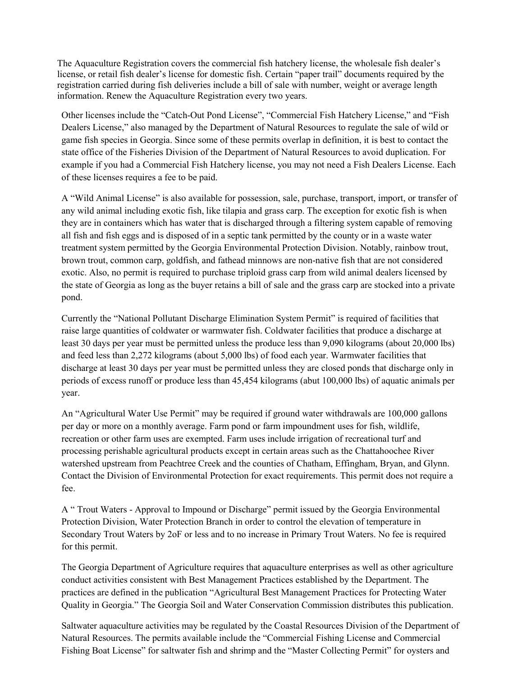The Aquaculture Registration covers the commercial fish hatchery license, the wholesale fish dealer's license, or retail fish dealer's license for domestic fish. Certain "paper trail" documents required by the registration carried during fish deliveries include a bill of sale with number, weight or average length information. Renew the Aquaculture Registration every two years.

Other licenses include the "Catch-Out Pond License", "Commercial Fish Hatchery License," and "Fish Dealers License," also managed by the Department of Natural Resources to regulate the sale of wild or game fish species in Georgia. Since some of these permits overlap in definition, it is best to contact the state office of the Fisheries Division of the Department of Natural Resources to avoid duplication. For example if you had a Commercial Fish Hatchery license, you may not need a Fish Dealers License. Each of these licenses requires a fee to be paid.

A "Wild Animal License" is also available for possession, sale, purchase, transport, import, or transfer of any wild animal including exotic fish, like tilapia and grass carp. The exception for exotic fish is when they are in containers which has water that is discharged through a filtering system capable of removing all fish and fish eggs and is disposed of in a septic tank permitted by the county or in a waste water treatment system permitted by the Georgia Environmental Protection Division. Notably, rainbow trout, brown trout, common carp, goldfish, and fathead minnows are non-native fish that are not considered exotic. Also, no permit is required to purchase triploid grass carp from wild animal dealers licensed by the state of Georgia as long as the buyer retains a bill of sale and the grass carp are stocked into a private pond.

Currently the "National Pollutant Discharge Elimination System Permit" is required of facilities that raise large quantities of coldwater or warmwater fish. Coldwater facilities that produce a discharge at least 30 days per year must be permitted unless the produce less than 9,090 kilograms (about 20,000 lbs) and feed less than 2,272 kilograms (about 5,000 lbs) of food each year. Warmwater facilities that discharge at least 30 days per year must be permitted unless they are closed ponds that discharge only in periods of excess runoff or produce less than 45,454 kilograms (abut 100,000 lbs) of aquatic animals per year.

An "Agricultural Water Use Permit" may be required if ground water withdrawals are 100,000 gallons per day or more on a monthly average. Farm pond or farm impoundment uses for fish, wildlife, recreation or other farm uses are exempted. Farm uses include irrigation of recreational turf and processing perishable agricultural products except in certain areas such as the Chattahoochee River watershed upstream from Peachtree Creek and the counties of Chatham, Effingham, Bryan, and Glynn. Contact the Division of Environmental Protection for exact requirements. This permit does not require a fee.

A " Trout Waters - Approval to Impound or Discharge" permit issued by the Georgia Environmental Protection Division, Water Protection Branch in order to control the elevation of temperature in Secondary Trout Waters by 2oF or less and to no increase in Primary Trout Waters. No fee is required for this permit.

The Georgia Department of Agriculture requires that aquaculture enterprises as well as other agriculture conduct activities consistent with Best Management Practices established by the Department. The practices are defined in the publication "Agricultural Best Management Practices for Protecting Water Quality in Georgia." The Georgia Soil and Water Conservation Commission distributes this publication.

Saltwater aquaculture activities may be regulated by the Coastal Resources Division of the Department of Natural Resources. The permits available include the "Commercial Fishing License and Commercial Fishing Boat License" for saltwater fish and shrimp and the "Master Collecting Permit" for oysters and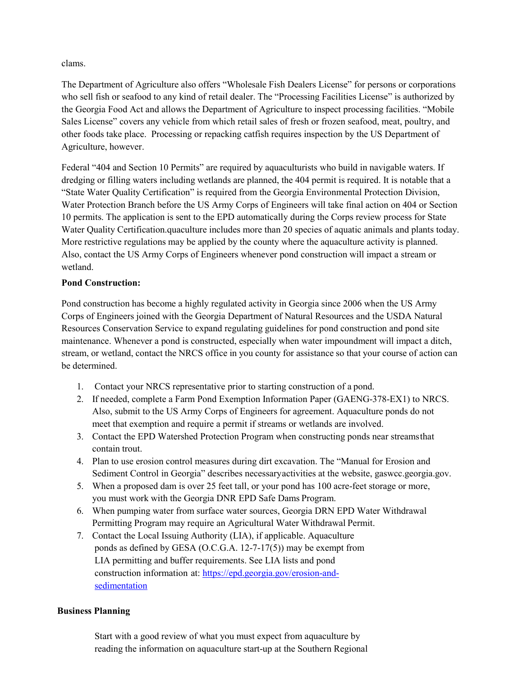clams.

The Department of Agriculture also offers "Wholesale Fish Dealers License" for persons or corporations who sell fish or seafood to any kind of retail dealer. The "Processing Facilities License" is authorized by the Georgia Food Act and allows the Department of Agriculture to inspect processing facilities. "Mobile Sales License" covers any vehicle from which retail sales of fresh or frozen seafood, meat, poultry, and other foods take place. Processing or repacking catfish requires inspection by the US Department of Agriculture, however.

Federal "404 and Section 10 Permits" are required by aquaculturists who build in navigable waters. If dredging or filling waters including wetlands are planned, the 404 permit is required. It is notable that a "State Water Quality Certification" is required from the Georgia Environmental Protection Division, Water Protection Branch before the US Army Corps of Engineers will take final action on 404 or Section 10 permits. The application is sent to the EPD automatically during the Corps review process for State Water Quality Certification.quaculture includes more than 20 species of aquatic animals and plants today. More restrictive regulations may be applied by the county where the aquaculture activity is planned. Also, contact the US Army Corps of Engineers whenever pond construction will impact a stream or wetland.

# **Pond Construction:**

Pond construction has become a highly regulated activity in Georgia since 2006 when the US Army Corps of Engineers joined with the Georgia Department of Natural Resources and the USDA Natural Resources Conservation Service to expand regulating guidelines for pond construction and pond site maintenance. Whenever a pond is constructed, especially when water impoundment will impact a ditch, stream, or wetland, contact the NRCS office in you county for assistance so that your course of action can be determined.

- 1. Contact your NRCS representative prior to starting construction of a pond.
- 2. If needed, complete a Farm Pond Exemption Information Paper (GAENG-378-EX1) to NRCS. Also, submit to the US Army Corps of Engineers for agreement. Aquaculture ponds do not meet that exemption and require a permit if streams or wetlands are involved.
- 3. Contact the EPD Watershed Protection Program when constructing ponds near streamsthat contain trout.
- 4. Plan to use erosion control measures during dirt excavation. The "Manual for Erosion and Sediment Control in Georgia" describes necessaryactivities at the website, gaswcc.georgia.gov.
- 5. When a proposed dam is over 25 feet tall, or your pond has 100 acre-feet storage or more, you must work with the Georgia DNR EPD Safe Dams Program.
- 6. When pumping water from surface water sources, Georgia DRN EPD Water Withdrawal Permitting Program may require an Agricultural Water Withdrawal Permit.
- 7. Contact the Local Issuing Authority (LIA), if applicable. Aquaculture ponds as defined by GESA (O.C.G.A. 12-7-17(5)) may be exempt from LIA permitting and buffer requirements. See LIA lists and pond construction information at: [https://epd.georgia.gov/erosion-and](https://epd.georgia.gov/erosion-and-sedimentation)[sedimentation](https://epd.georgia.gov/erosion-and-sedimentation)

# **Business Planning**

Start with a good review of what you must expect from aquaculture by reading the information on aquaculture start-up at the Southern Regional